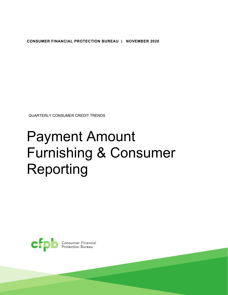**CONSUMER FINANCIAL PROTECTION BUREAU | NOVEMBER 2020** 

QUARTERLY CONSUMER CREDIT TRENDS

# Payment Amount Furnishing & Consumer Reporting

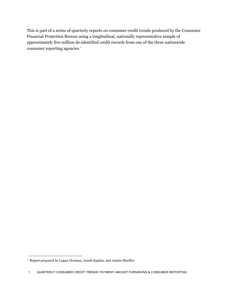This is part of a series of quarterly reports on consumer credit trends produced by the Consumer Financial Protection Bureau using a longitudinal, nationally representative sample of approximately five million de-identified credit records from one of the three nationwide consumer reporting agencies.[\\*](#page-1-0)

<span id="page-1-0"></span> \* Report prepared by Logan Herman, Jonah Kaplan, and Austin Mueller.

<sup>1</sup> QUARTERLY CONSUMER CREDIT TRENDS: PAYMENT AMOUNT FURNISHING & CONSUMER REPORTING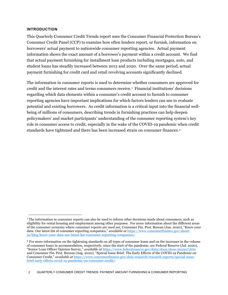## **INTRODUCTION**

1

payment furnishing for credit card and retail revolving accounts significantly declined. This Quarterly Consumer Credit Trends report uses the Consumer Financial Protection Bureau's Consumer Credit Panel (CCP) to examine how often lenders report, or furnish, information on borrowers' actual payment to nationwide consumer reporting agencies. Actual payment information shows the exact amount of a borrower's payment within a credit account. We find that actual payment furnishing for installment loan products including mortgages, auto, and student loans has steadily increased between 2012 and 2020. Over the same period, actual

The information in consumer reports is used to determine whether consumers are approved for credit and the interest rates and terms consumers receive.[1](#page-2-0) Financial institutions' decisions regarding which data elements within a consumer's credit account to furnish to consumer reporting agencies have important implications for which factors lenders can use to evaluate potential and existing borrowers. As credit information is a critical input into the financial wellbeing of millions of consumers, describing trends in furnishing practices can help deepen policymakers' and market participants' understanding of the consumer reporting system's key role in consumer access to credit, especially in the wake of the COVID-19 pandemic when credit standards have tightened and there has been increased strain on consumer finances.<sup>2</sup>

<span id="page-2-0"></span><sup>1</sup> The information in consumer reports can also be used to inform other decisions made about consumers, such as eligibility for rental housing and employment among other purposes. For more information about the different areas of the consumer economy where consumer reports are used *see*, Consumer Fin. Prot. Bureau (Jan. 2020), "Know your data: Our latest list of consumer reporting companies," *available at* [https://www.consumerfinance.gov/about](https://www.consumerfinance.gov/about-us/blog/know-your-data-our-latest-list-consumer-reporting-companies/)[us/blog/know-your-data-our-latest-list-consumer-reporting-companies/.](https://www.consumerfinance.gov/about-us/blog/know-your-data-our-latest-list-consumer-reporting-companies/)

<span id="page-2-1"></span><sup>2</sup> For more information on the tightening standards on all types of consumer loans and on the increases in the volume of consumer loans in accommodation, respectively, since the start of the pandemic, *see* Federal Reserve (Jul. 2020), "Senior Loan Officer Opinion Survey," *available at* <https://www.federalreserve.gov/data/sloos/sloos-202007.htm> and Consumer Fin. Prot. Bureau (Aug. 2020), "Special Issue Brief: The Early Effects of the COVID-19 Pandemic on Consumer Credit," *available at* [https://www.consumerfinance.gov/data-research/research-reports/special-issue](https://www.consumerfinance.gov/data-research/research-reports/special-issue-brief-early-effects-covid-19-pandemic-on-consumer-credit/)[brief-early-effects-covid-19-pandemic-on-consumer-credit/.](https://www.consumerfinance.gov/data-research/research-reports/special-issue-brief-early-effects-covid-19-pandemic-on-consumer-credit/)

<sup>2</sup> QUARTERLY CONSUMER CREDIT TRENDS: PAYMENT AMOUNT FURNISHING & CONSUMER REPORTING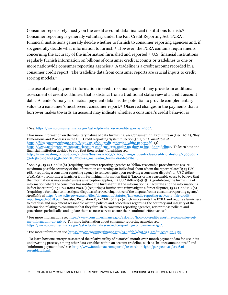Consumer reports rely mostly on the credit account data financial institutions furnish.[3](#page-3-0)  Consumer reporting is generally voluntary under the Fair Credit Reporting Act (FCRA). Financial institutions generally decide whether to furnish to consumer reporting agencies and, if so, generally decide what information to furnish.[4](#page-3-1) However, the FCRA contains requirements concerning the accuracy of the information furnished and reported.[5](#page-3-2) U.S. financial institutions regularly furnish information on billions of consumer credit accounts or tradelines to one or more nationwide consumer reporting agencies.<sup>6</sup> A tradeline is a credit account recorded in a consumer credit report. The tradeline data from consumer reports are crucial inputs to credit scoring models.[7](#page-3-4)

The use of actual payment information in credit risk management may provide an additional assessment of creditworthiness that is distinct from a traditional static view of a credit account data. A lender's analysis of actual payment data has the potential to provide complementary value to a consumer's most recent consumer report.<sup>8</sup> Observed changes in the payments that a borrower makes towards an account may indicate whether a consumer's credit behavior is

-

<span id="page-3-1"></span>4 For more information on the voluntary nature of data furnishing, *see* Consumer Fin. Prot. Bureau (Dec. 2012), "Key Dimensions and Processes in the U.S. Credit Reporting System," Section 3.1.1, p. 15, *available at*  [https://files.consumerfinance.gov/f/201212\\_cfpb\\_credit-reporting-white-paper.pdf.](https://files.consumerfinance.gov/f/201212_cfpb_credit-reporting-white-paper.pdf) *Cf.*  [https://www.natlawreview.com/article/court-confirms-cras-under-no-duty-to-include-tradelines.](https://www.natlawreview.com/article/court-confirms-cras-under-no-duty-to-include-tradelines) To learn how one

<span id="page-3-0"></span><sup>3</sup>*S*ee[, https://www.consumerfinance.gov/ask-cfpb/what-is-a-credit-report-en-309/.](https://www.consumerfinance.gov/ask-cfpb/what-is-a-credit-report-en-309/)

financial institution decided to stop (but then restart) furnishing *see*, [http://www.washingtonpost.com/archive/business/2003/11/06/giving-students-due-credit-for-history/470980d1-](http://www.washingtonpost.com/archive/business/2003/11/06/giving-students-due-credit-for-history/470980d1-73ef-4bc6-b92d-3493b4002858/?tid=ss_mail&utm_term=.d60de9a7ba46) [73ef-4bc6-b92d-3493b4002858/?tid=ss\\_mail&utm\\_term=.d60de9a7ba46.](http://www.washingtonpost.com/archive/business/2003/11/06/giving-students-due-credit-for-history/470980d1-73ef-4bc6-b92d-3493b4002858/?tid=ss_mail&utm_term=.d60de9a7ba46)

<span id="page-3-2"></span><sup>5</sup>*See, e.g.,* 15 USC 1681e(b) (requiring consumer reporting agencies to "follow reasonable procedures to assure maximum possible accuracy of the information concerning an individual about whom the report relates"); 15 USC 1681i (requiring a consumer reporting agency to reinvestigate upon receiving a consumer dispute); 15 USC 1681s- $2(a)(1)(A)$  (prohibiting a furnisher from furnishing information that it "knows or has reasonable cause to believe that the information is inaccurate" unless an exception applies); 15 USC 1681s-2(a)(1)(B) (prohibiting the furnishing of information where the consumer has notified the furnisher that the information is inaccurate and the information is in fact inaccurate), 15 USC 1681s-2(a)(8) (requiring a furnisher to reinvestigate a direct dispute), 15 USC 1681s-2(b) (requiring a furnisher to investigate disputes after receiving notice of the dispute from a consumer reporting agency)*, Available at* [https://www.ftc.gov/system/files/documents/statutes/fair-credit-reporting-act/545a\\_fair-credit](https://www.ftc.gov/system/files/documents/statutes/fair-credit-reporting-act/545a_fair-credit-reporting-act-0918.pdf)[reporting-act-0918.pdf.](https://www.ftc.gov/system/files/documents/statutes/fair-credit-reporting-act/545a_fair-credit-reporting-act-0918.pdf) See also, Regulation V, 12 CFR 1022.42 (which implements the FCRA and requires furnishers to establish and implement reasonable written policies and procedures regarding the accuracy and integrity of the information relating to consumers that they furnish to consumer reporting agencies, review those policies and procedures periodically, and update them as necessary to ensure their continued effectiveness).

<span id="page-3-3"></span><sup>6</sup> For more information *see*[, https://www.consumerfinance.gov/ask-cfpb/how-do-credit-reporting-companies-get](https://www.consumerfinance.gov/ask-cfpb/how-do-credit-reporting-companies-get-my-information-en-1263/)[my-information-en-1263/.](https://www.consumerfinance.gov/ask-cfpb/how-do-credit-reporting-companies-get-my-information-en-1263/) For more information about consumer reporting agencies *see*, [https://www.consumerfinance.gov/ask-cfpb/what-is-a-credit-reporting-company-en-1251/.](https://www.consumerfinance.gov/ask-cfpb/what-is-a-credit-reporting-company-en-1251/) 

<span id="page-3-4"></span><sup>7</sup> For more information *see*[, https://www.consumerfinance.gov/ask-cfpb/what-is-a-credit-score-en-315/.](https://www.consumerfinance.gov/ask-cfpb/what-is-a-credit-score-en-315/)

<span id="page-3-5"></span><sup>8</sup> To learn how one enterprise assessed the relative utility of historical month-over-month payment data for use in its underwriting process, among other data variables within an account tradeline, such as "balance amount owed" and "minimum payment due," *see*[,](http://www.fanniemae.com/portal/research-insights/perspectives/030816-rosenblatt.html) [http://www.fanniemae.com/portal/research-insights/perspectives/03081](https://www.fanniemae.com/research-and-insights/perspectives/trended-credit-data-improves-du-risk-assessment-and-supports-access-mortgage-credit)[6](http://www.fanniemae.com/portal/research-insights/perspectives/030816-rosenblatt.html) [rosenblatt.html.](https://www.fanniemae.com/research-and-insights/perspectives/trended-credit-data-improves-du-risk-assessment-and-supports-access-mortgage-credit)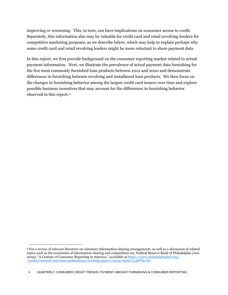improving or worsening. This, in turn, can have implications on consumer access to credit. some credit card and retail revolving lenders might be more reluctant to share payment data. Separately, this information also may be valuable for credit card and retail revolving lenders for competitive marketing purposes, as we describe below, which may help to explain perhaps why

 payment information. Next, we illustrate the prevalence of actual payment data furnishing for the changes in furnishing behavior among the largest credit card issuers over time and explore In this report, we first provide background on the consumer reporting market related to actual the five most commonly furnished loan products between 2012 and 2020 and demonstrate differences in furnishing between revolving and installment loan products. We then focus on possible business incentives that may account for the differences in furnishing behavior observed in this report.[9](#page-4-0)

<span id="page-4-0"></span><sup>9</sup> For a review of relevant literature on voluntary information-sharing arrangements, as well as a discussion of related topics such as the economics of information-sharing and competition *see*, Federal Reserve Bank of Philadelphia (Jun. 2005), "A Century of Consumer Reporting in America," *available at* [https://www.philadelphiafed.org/-](https://www.philadelphiafed.org/-/media/research-and-data/publications/working-papers/2005/wp05-13.pdf?la=en) [/media/research-and-data/publications/working-papers/2005/wp05-13.pdf?la=en.](https://www.philadelphiafed.org/-/media/frbp/assets/working-papers/2005/wp05-13.pdf?la=en&hash=FCFC0842F9EC8E7272AF17763E169964)

<sup>4</sup> QUARTERLY CONSUMER CREDIT TRENDS: PAYMENT AMOUNT FURNISHING & CONSUMER REPORTING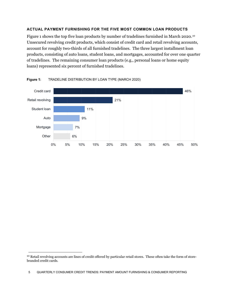# **ACTUAL PAYMENT FURNISHING FOR THE FIVE MOST COMMON LOAN PRODUCTS**

Figure 1 shows the top five loan products by number of tradelines furnished in March 2020.[10](#page-5-0) Unsecured revolving credit products, which consist of credit card and retail revolving accounts, account for roughly two-thirds of all furnished tradelines. The three largest installment loan products, consisting of auto loans, student loans, and mortgages, accounted for over one quarter of tradelines. The remaining consumer loan products (e.g., personal loans or home equity loans) represented six percent of furnished tradelines.



#### Figure 1: TRADELINE DISTRIBUTION BY LOAN TYPE (MARCH 2020)

<span id="page-5-0"></span><sup>&</sup>lt;sup>10</sup> Retail revolving accounts are lines of credit offered by particular retail stores. These often take the form of storebranded credit cards.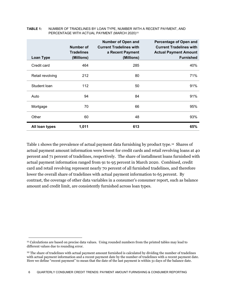| <b>Loan Type</b> | Number of<br><b>Tradelines</b><br>(Millions) | <b>Number of Open and</b><br><b>Current Tradelines with</b><br>a Recent Payment<br>(Millions) | Percentage of Open and<br><b>Current Tradelines with</b><br><b>Actual Payment Amount</b><br><b>Furnished</b> |
|------------------|----------------------------------------------|-----------------------------------------------------------------------------------------------|--------------------------------------------------------------------------------------------------------------|
| Credit card      | 464                                          | 285                                                                                           | 40%                                                                                                          |
| Retail revolving | 212                                          | 80                                                                                            | 71%                                                                                                          |
| Student Ioan     | 112                                          | 50                                                                                            | 91%                                                                                                          |
| Auto             | 94                                           | 84                                                                                            | 91%                                                                                                          |
| Mortgage         | 70                                           | 66                                                                                            | 95%                                                                                                          |
| Other            | 60                                           | 48                                                                                            | 93%                                                                                                          |
| All loan types   | 1,011                                        | 613                                                                                           | 65%                                                                                                          |

### **TABLE 1:** NUMBER OF TRADELINES BY LOAN TYPE, NUMBER WITH A RECENT PAYMENT, AND PERCENTAGE WITH ACTUAL PAYMENT (MARCH 2020)<sup>[11](#page-6-0)</sup>

Table 1 shows the prevalence of actual payment data furnishing by product type.[12](#page-6-1) Shares of actual payment amount information were lowest for credit cards and retail revolving loans at 40 percent and 71 percent of tradelines, respectively. The share of installment loans furnished with actual payment information ranged from 91 to 95 percent in March 2020. Combined, credit card and retail revolving represent nearly 70 percent of all furnished tradelines, and therefore lower the overall share of tradelines with actual payment information to 65 percent. By contrast, the coverage of other data variables in a consumer's consumer report, such as balance amount and credit limit, are consistently furnished across loan types.

<span id="page-6-0"></span><sup>&</sup>lt;sup>11</sup> Calculations are based on precise data values. Using rounded numbers from the printed tables may lead to different values due to rounding error.

<span id="page-6-1"></span><sup>&</sup>lt;sup>12</sup> The share of tradelines with actual payment amount furnished is calculated by dividing the number of tradelines with actual payment information and a recent payment date by the number of tradelines with a recent payment date. Here we define "recent payment" to mean that the date of the last payment is within 31 days of the balance date.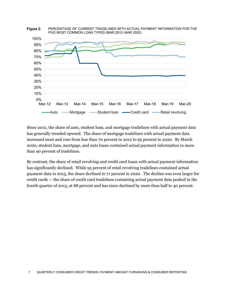

 Since 2012, the share of auto, student loan, and mortgage tradelines with actual payment data has generally trended upward. The share of mortgage tradelines with actual payment data increased most and rose from less than 70 percent in 2012 to 95 percent in 2020. By March 2020, student loan, mortgage, and auto loans contained actual payment information in more than 90 percent of tradelines.

 has significantly declined. While 95 percent of retail revolving tradelines contained actual payment data in 2015, the share declined to 71 percent in 2020. The decline was even larger for fourth quarter of 2013, at 88 percent and has since declined by more than half to 40 percent. By contrast, the share of retail revolving and credit card loans with actual payment information credit cards — the share of credit card tradelines containing actual payment data peaked in the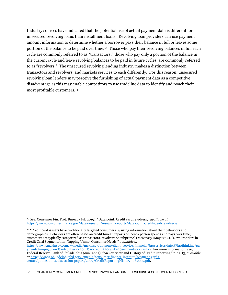Industry sources have indicated that the potential use of actual payment data is different for unsecured revolving loans than installment loans. Revolving loan providers can use payment amount information to determine whether a borrower pays their balance in full or leaves some portion of the balance to be paid over time.<sup>13</sup> Those who pay their revolving balances in full each cycle are commonly referred to as "transactors;" those who pay only a portion of the balance in the current cycle and leave revolving balances to be paid in future cycles, are commonly referred to as "revolvers." The unsecured revolving lending industry makes a distinction between transactors and revolvers, and markets services to each differently. For this reason, unsecured revolving loan lenders may perceive the furnishing of actual payment data as a competitive disadvantage as this may enable competitors to use tradeline data to identify and poach their most profitable customers.[14](#page-8-1)

 $\overline{a}$ 

<span id="page-8-0"></span>*See*, Consumer Fin. Prot. Bureau (Jul. 2019), "Data point: Credit card revolvers," *available at*  13 [https://www.consumerfinance.gov/data-research/research-reports/data-point-credit-card-revolvers/.](https://www.consumerfinance.gov/data-research/research-reports/data-point-credit-card-revolvers/)

<span id="page-8-1"></span><sup>14 &</sup>quot;Credit card issuers have traditionally targeted consumers by using information about their behaviors and demographics. Behaviors are often based on credit bureau reports on how a person spends and pays over time; customers are typically categorized as transactors, revolvers or subprime" (McKinsey (May 2014), "New Frontiers in Credit Card Segmentation: Tapping Unmet Consumer Needs," *available at*  [https://www.mckinsey.com/~/media/mckinsey/dotcom/client\\_service/financial%20services/latest%20thinking/pa](https://www.mckinsey.com/%7E/media/mckinsey/dotcom/client_service/financial%20services/latest%20thinking/payments/mop19_new%20frontiers%20in%20credit%20card%20segmentation.ashx)  [yments/mop19\\_new%20frontiers%20in%20credit%20card%20segmentation.ashx\)](https://www.mckinsey.com/%7E/media/mckinsey/dotcom/client_service/financial%20services/latest%20thinking/payments/mop19_new%20frontiers%20in%20credit%20card%20segmentation.ashx). For more information, *see*, Federal Reserve Bank of Philadelphia (Jun. 2002), "An Overview and History of Credit Reporting," p. 12-13, *available at* [https://www.philadelphiafed.org/-/media/consumer-finance-institute/payment-cards](https://www.philadelphiafed.org/-/media/consumer-finance-institute/payment-cards-center/publications/discussion-papers/2002/CreditReportingHistory_062002.pdf)[center/publications/discussion-papers/2002/CreditReportingHistory\\_062002.pdf.](https://www.philadelphiafed.org/-/media/consumer-finance-institute/payment-cards-center/publications/discussion-papers/2002/CreditReportingHistory_062002.pdf)

<sup>8</sup> QUARTERLY CONSUMER CREDIT TRENDS: PAYMENT AMOUNT FURNISHING & CONSUMER REPORTING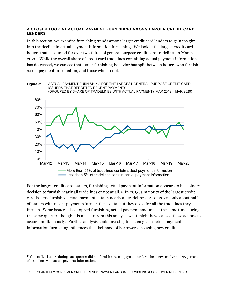## **A CLOSER LOOK AT ACTUAL PAYMENT FURNISHING AMONG LARGER CREDIT CARD LENDERS**

 into the decline in actual payment information furnishing. We look at the largest credit card has decreased, we can see that issuer furnishing behavior has split between issuers who furnish In this section, we examine furnishing trends among larger credit card lenders to gain insight issuers that accounted for over two thirds of general purpose credit card tradelines in March 2020. While the overall share of credit card tradelines containing actual payment information actual payment information, and those who do not.



For the largest credit card issuers, furnishing actual payment information appears to be a binary decision to furnish nearly all tradelines or not at all.[15](#page-9-0) In 2013, a majority of the largest credit card issuers furnished actual payment data in nearly all tradelines. As of 2020, only about half of issuers with recent payments furnish these data, but they do so for all the tradelines they furnish. Some issuers also stopped furnishing actual payment amounts at the same time during the same quarter, though it is unclear from this analysis what might have caused these actions to occur simultaneously. Further analysis could investigate if changes in actual payment information furnishing influences the likelihood of borrowers accessing new credit.

<span id="page-9-0"></span><sup>15</sup> One to five issuers during each quarter did not furnish a recent payment or furnished between five and 95 percent of tradelines with actual payment information.